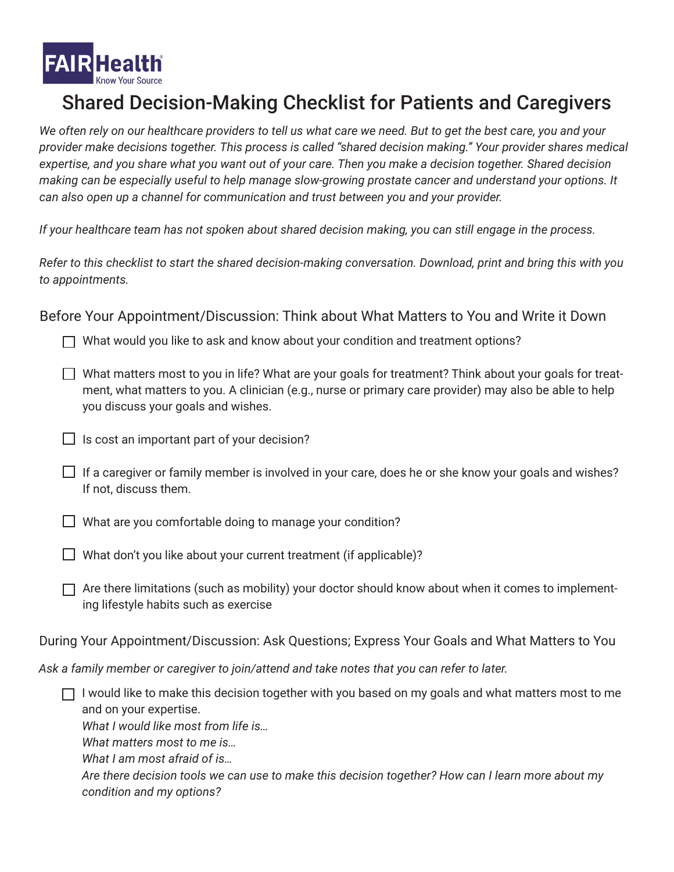

## Shared Decision-Making Checklist for Patients and Caregivers

*We often rely on our healthcare providers to tell us what care we need. But to get the best care, you and your provider make decisions together. This process is called "shared decision making." Your provider shares medical expertise, and you share what you want out of your care. Then you make a decision together. Shared decision making can be especially useful to help manage slow-growing prostate cancer and understand your options. It can also open up a channel for communication and trust between you and your provider.* 

*If your healthcare team has not spoken about shared decision making, you can still engage in the process.*

*Refer to this checklist to start the shared decision-making conversation. Download, print and bring this with you to appointments.*

Before Your Appointment/Discussion: Think about What Matters to You and Write it Down

 $\Box$  What would you like to ask and know about your condition and treatment options?

- $\Box$  What matters most to you in life? What are your goals for treatment? Think about your goals for treatment, what matters to you. A clinician (e.g., nurse or primary care provider) may also be able to help you discuss your goals and wishes.
- $\Box$  Is cost an important part of your decision?
- If a caregiver or family member is involved in your care, does he or she know your goals and wishes? If not, discuss them.

 $\Box$  What are you comfortable doing to manage your condition?

What don't you like about your current treatment (if applicable)?

 $\Box$  Are there limitations (such as mobility) your doctor should know about when it comes to implementing lifestyle habits such as exercise

During Your Appointment/Discussion: Ask Questions; Express Your Goals and What Matters to You

*Ask a family member or caregiver to join/attend and take notes that you can refer to later.* 

 $\Box$  I would like to make this decision together with you based on my goals and what matters most to me and on your expertise. *What I would like most from life is…*

*What matters most to me is…*

*What I am most afraid of is…*

*Are there decision tools we can use to make this decision together? How can I learn more about my condition and my options?*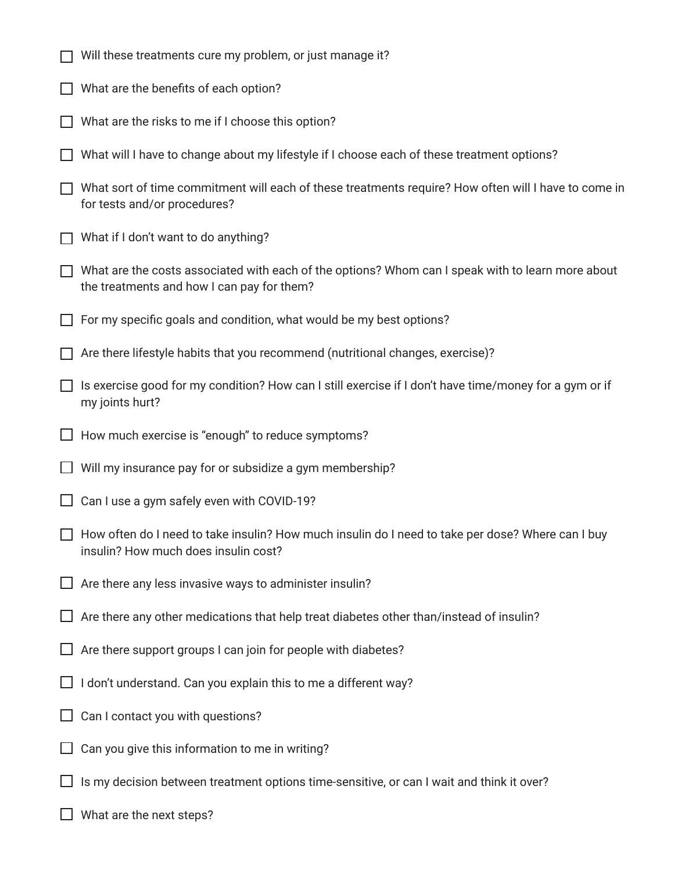- $\Box$  Will these treatments cure my problem, or just manage it?
- $\Box$  What are the benefits of each option?
- $\Box$  What are the risks to me if I choose this option?
- What will I have to change about my lifestyle if I choose each of these treatment options?
- $\Box$  What sort of time commitment will each of these treatments require? How often will I have to come in for tests and/or procedures?
- $\Box$  What if I don't want to do anything?
- $\Box$  What are the costs associated with each of the options? Whom can I speak with to learn more about the treatments and how I can pay for them?
- $\Box$  For my specific goals and condition, what would be my best options?
- $\Box$  Are there lifestyle habits that you recommend (nutritional changes, exercise)?
- $\Box$  Is exercise good for my condition? How can I still exercise if I don't have time/money for a gym or if my joints hurt?
- $\Box$  How much exercise is "enough" to reduce symptoms?
- $\Box$  Will my insurance pay for or subsidize a gym membership?
- $\Box$  Can I use a gym safely even with COVID-19?
- $\Box$  How often do I need to take insulin? How much insulin do I need to take per dose? Where can I buy insulin? How much does insulin cost?
- $\Box$  Are there any less invasive ways to administer insulin?
- $\Box$  Are there any other medications that help treat diabetes other than/instead of insulin?
- $\Box$  Are there support groups I can join for people with diabetes?
- $\Box$  I don't understand. Can you explain this to me a different way?
- $\Box$  Can I contact you with questions?
- $\Box$  Can you give this information to me in writing?
- $\Box$  Is my decision between treatment options time-sensitive, or can I wait and think it over?
- $\Box$  What are the next steps?